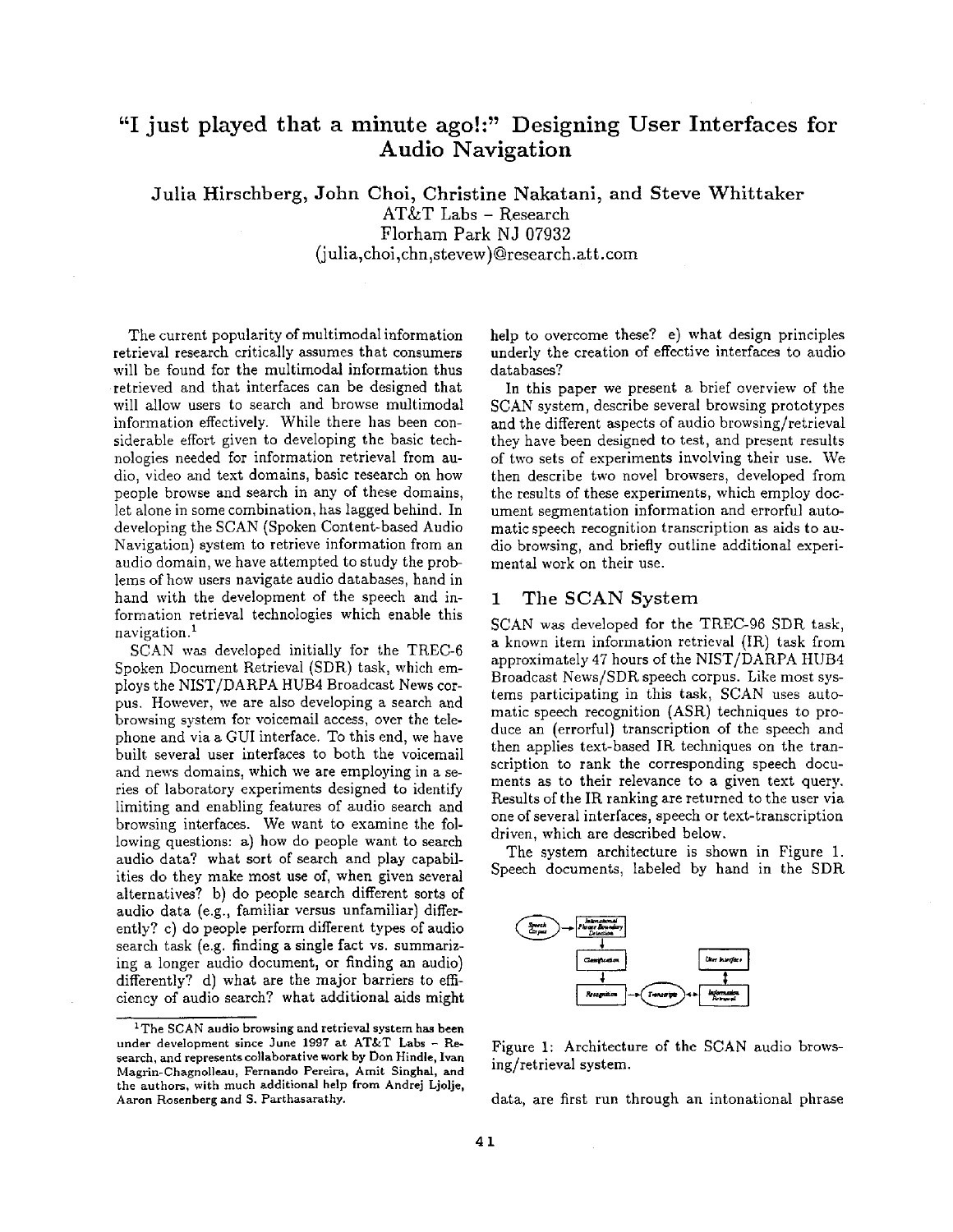# **"I just played that a minute ago!:" Designing User Interfaces for Audio Navigation**

Julia Hirschberg, **John Choi,** Christine Nakatani, and Steve Whittaker AT&T Labs - Research Florham Park NJ 07932 (julia,choi,chn,stevew)@research.att.com

The current popularity of multimodal information retrieval research critically assumes that consumers will be found for the multimodal information thus retrieved and that interfaces can be designed that will allow users to search and browse multimodal information effectively. While there has been considerable effort given to developing the basic technologies needed for information retrieval from audio, video and text domains, basic research on how people browse and search in any of these domains, let alone in some combination, has lagged behind. In developing the SCAN (Spoken Content-based Audio Navigation) system to retrieve information from an audio domain, we have attempted to study the problems of how users navigate audio databases, hand in hand with the development of the speech and information retrieval technologies which enable this navigation.<sup>1</sup>

SCAN was developed initially for the TREC-6 Spoken Document Retrieval (SDR) task, which employs the NIST/DARPA HUB4 Broadcast News corpus. However, we are also developing a search and browsing system for voicemail access, over the telephone and via a GUI interface. To this end, we have built several user interfaces to both the voicemail and news domains, which we are employing in a series of laboratory experiments designed to identify limiting and enabling features of audio search and browsing interfaces. We want to examine the following questions: a) how do people want to search audio data? what sort of search and play capabilities do they make most use of, when given several alternatives? b) do people search different sorts of audio data (e.g., familiar versus unfamiliar) differently? c) do people perform different types of audio search task (e.g. finding a single fact vs. summarizing a longer audio document, or finding an audio) differently? d) what are the major barriers to efficiency of audio search? what additional aids might help to overcome these? e) what design principles underly the creation of effective interfaces to audio databases?

In this paper we present a brief overview of the SCAN system, describe several browsing prototypes and the different aspects of audio browsing/retrieval they have been designed to test, and present results of two sets of experiments involving their use. We then describe two novel browsers, developed from the results of these experiments, which employ document segmentation information and errorful automatic speech recognition transcription as aids to audio browsing, and briefly outline additional experimental work on their use.

## 1 The SCAN System

SCAN was developed for the TREC-96 SDR task, a known item information retrieval (IR) task from approximately 47 hours of the NIST/DARPA HUB4 Broadcast News/SDR speech corpus. Like most systems participating in this task, SCAN uses automatic speech recognition (ASR) techniques to produce an (errorful) transcription of the speech and then applies text-based IR techniques on the transcription to rank the corresponding speech documents as to their relevance to a given text query. Results of the IR ranking are returned to the user via one of several interfaces, speech or text-transcription driven, which are described below.

The system architecture is shown in Figure 1. Speech documents, labeled by hand in the SDR



Figure 1: Architecture of the SCAN audio browsing/retrieval system.

data, are first run through an intonational phrase

 $1$ The SCAN audio browsing and retrieval system has been under development since June 1997 at AT&T Labs - Research, and represents collaborative work by Don Hindle, Ivan Magrin-Chagnolleau, Fernando Pereira, Amit Singhal, and the authors, with much additional help from Andrej Ljolje, Aaron Rosenberg and S. Parthasarathy.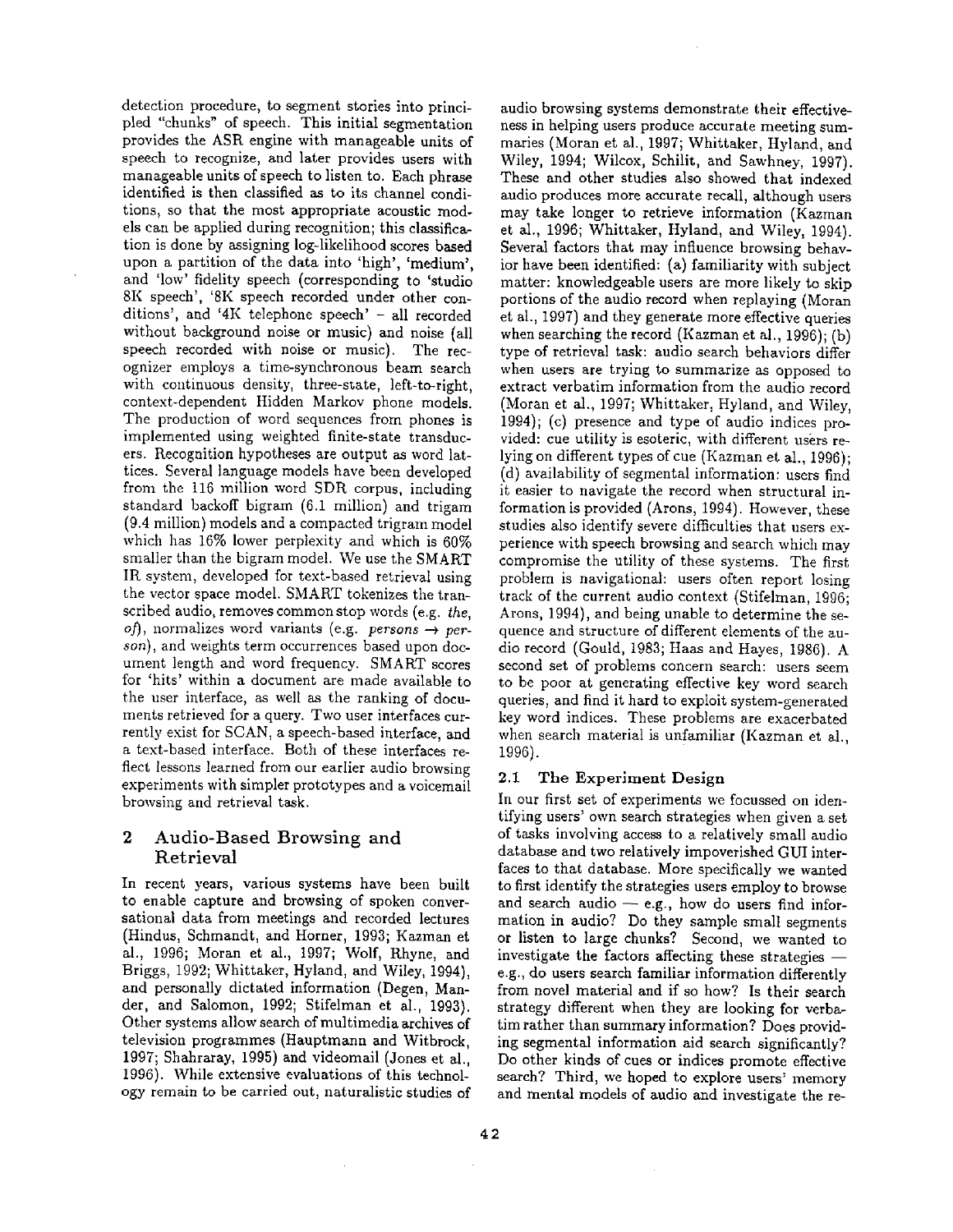detection procedure, to segment stories into principled "chunks" of speech. This initial segmentation provides the ASR engine with manageable units of speech to recognize, and later provides users with manageable units of speech to listen to. Each phrase identified is then classified as to its channel conditions, so that the most appropriate acoustic models can be applied during recognition; this classification is done by assigning log-likelihood scores based upon a partition of the data into 'high', 'medium', and 'low' fidelity speech (corresponding to 'studio 8K speech', '8K speech recorded under other conditions', and '4K telephone speech' - all recorded without background noise or music) and noise (all speech recorded with noise or music). The recognizer employs a time-synchronous beam search with continuous density, three-state, left-to-right, context-dependent Hidden Markov phone models. The production of word sequences from phones is implemented using weighted finite-state transducers. Recognition hypotheses are output as word lattices. Several language models have been developed from the 116 million word SDR corpus, including standard backoff bigram (6.1 million) and trigam (9.4 million) models and a compacted trigram model which has 16% lower perplexity and which is 60% smaller than the bigram model. We use the SMART IR system, developed for text-based retrieval using the vector space model. SMART tokenizes the transcribed audio, removes common stop words (e.g. *the, of*), normalizes word variants (e.g. *persons*  $\rightarrow$  *person),* and weights term occurrences based upon document length and word frequency. SMART scores for 'hits' within a document are made available to the user interface, as well as the ranking of documents retrieved for a query. Two user interfaces currently exist for SCAN, a speech-based interface, and a text-based interface. Both of these interfaces reflect lessons learned from our earlier audio browsing experiments with simpler prototypes and a voicemail browsing and retrieval task.

# **2 Audio-Based Browsing and**  Retrieval

In recent years, various systems have been built to enable capture and browsing of spoken conversational data from meetings and recorded lectures (Hindus, Schmandt, and Horner, 1993; Kazman et al., 1996; Moran et al., 1997; Wolf, Rhyne, and Briggs, 1992; Whittaker, Hyland, and Wiley, 1994), and personally dictated information (Degen, Mander, and Salomon, 1992; Stifelman et al., 1993). Other systems allow search of multimedia archives of television programmes (Hauptmann and Witbrock, 1997; Shahraray, 1995) and videomail (Jones et al., 1996). While extensive evaluations of this technology remain to be carried out, naturalistic studies of

audio browsing systems demonstrate their effectiveness in helping users produce accurate meeting summaries (Moran et al., 1997; Whittaker, Hyland, and Wiley, 1994; Wilcox, Schilit, and Sawhney, 1997). These and other studies also showed that indexed audio produces more accurate recall, although users may take longer to retrieve information (Kazman et al., 1996; Whittaker, Hyland, and Wiley, 1994). Several factors that may influence browsing behavior have been identified: (a) familiarity with subject matter: knowledgeable users are more likely to skip portions of the audio record when replaying (Moran et al., 1997) and they generate more effective queries when searching the record (Kazman et al., 1996); (b) type of retrieval task: audio search behaviors differ when users are trying to summarize as opposed to extract verbatim information from the audio record (Moran et al., 1997; Whittaker, Hyland, and Wiley, 1994); (c) presence and type of audio indices provided: cue utility is esoteric, with different users relying on different types of cue (Kazman et al., 1996); (d) availability of segmental information: users find it easier to navigate the record when structural information is provided (Arons, 1994). However, these studies also identify severe difficulties that users experience with speech browsing and search which may compromise the utility of these systems. The first problem is navigational: users often report losing track of the current audio context (Stifelman, 1996; Arons, 1994), and being unable to determine the sequence and structure of different elements of the audio record (Gould, 1983; Haas and Hayes, 1986). A second set of problems concern search: users seem to be poor at generating effective key word search queries, and find it hard to exploit system-generated key word indices. These problems are exacerbated when search material is unfamiliar (Kazman et al., 1996).

## 2.1 The Experiment Design

In our first set of experiments we focussed on identifying users' own search strategies when given a set of tasks involving access to a relatively small audio database and two relatively impoverished GUI interfaces to that database. More specifically we wanted to first identify the strategies users employ to browse and search audio  $-$  e.g., how do users find information in audio? Do they sample small segments or listen to large chunks? Second, we wanted to investigate the factors affecting these strategies  $$ e.g., do users search familiar information differently from novel material and if so how? Is their search strategy different when they are looking for verbatim rather than summary information? Does providing segmental information aid search significantly? Do other kinds of cues or indices promote effective search? Third, we hoped to explore users' memory and mental models of audio and investigate the re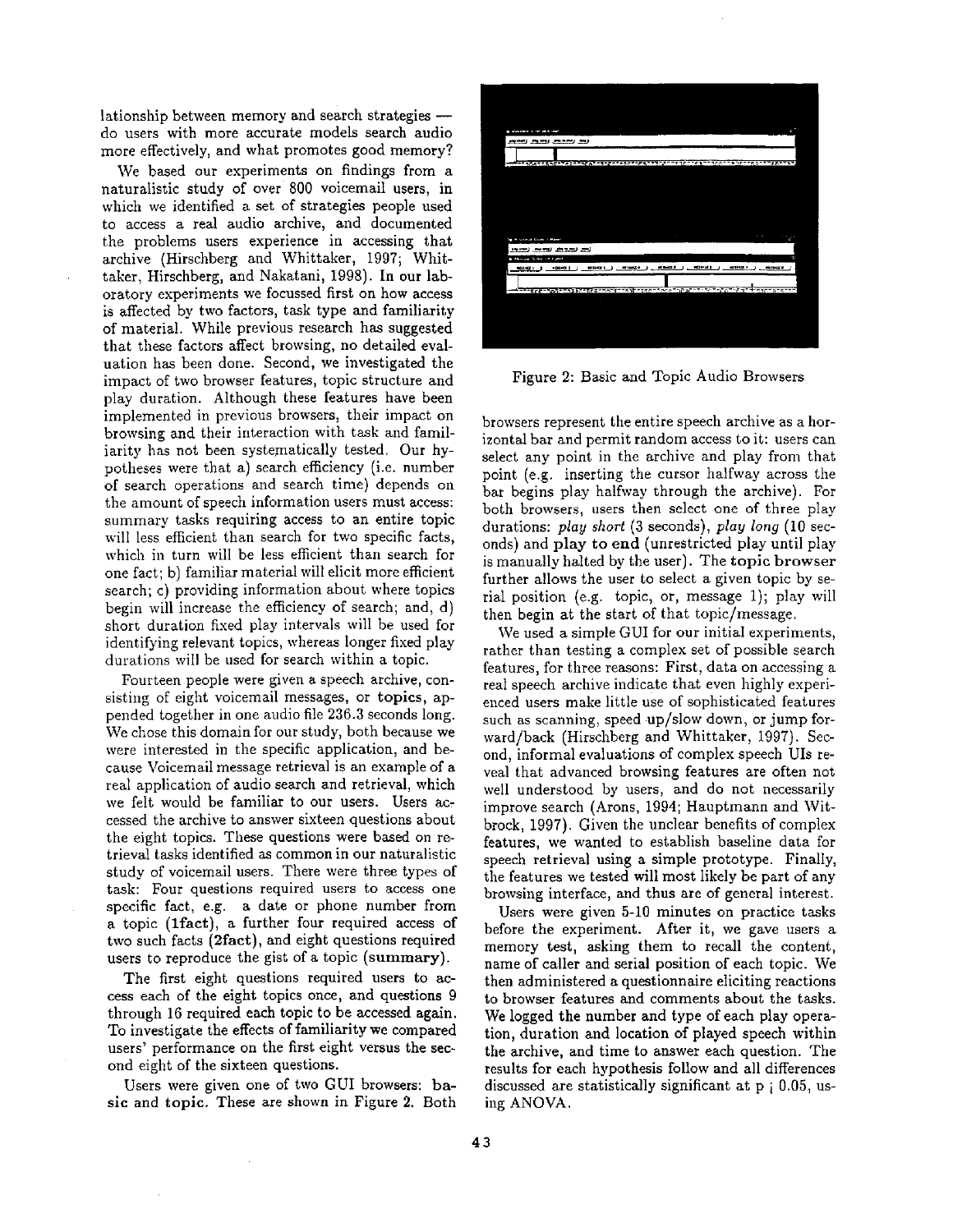lationship between memory and search strategies -do users with more accurate models search audio more effectively, and what promotes good memory?

We based our experiments on findings from a naturalistic study of over 800 voicemail users, in which we identified a set of strategies people used to access a real audio archive, and documented the problems users experience in accessing that archive (Hirschberg and Whittaker, 1997; Whittaker, Hirschberg, and Nakatani, 1998). In our laboratory experiments we focussed first on how access is affected by two factors, task type and familiarity of material. While previous research has suggested that these factors affect browsing, no detailed evaluation has been done. Second, we investigated the impact of two browser features, topic structure and play duration. Although these features have been implemented in previous browsers, their impact on browsing and their interaction with task and familiarity has not been systematically tested. Our hypotheses were that a) search efficiency (i.e. number of search operations and search time) depends on the amount of speech information users must access: summary tasks requiring access to an entire topic will less efficient than search for two specific facts, which in turn will be less efficient than search for one fact; b) familiar material will elicit more efficient search; c) providing information about where topics begin will increase the efficiency of search; and, d) short duration fixed play intervals will be used for identifying relevant topics, whereas longer fixed play durations will be used for search within a topic.

Fourteen people were given a speech archive, consisting of eight voicemail messages, or topics, appended together in one audio file 236.3 seconds long. We chose this domain for our study, both because we were interested in the specific application, and because Voicemail message retrieval is an example of a real application of audio search and retrieval, which we felt would be familiar to our users. Users accessed the archive to answer sixteen questions about the eight topics. These questions were based on retrieval tasks identified as common in our naturalistic study of voicemail users. There were three types of task: Four questions required users to access one specific fact, e.g. a date or phone number from a topic (lfact), a further four required access of two such facts (2fact), and eight questions required users to reproduce the gist of a topic (summary).

The first eight questions required users to access each of the eight topics once, and questions 9 through 16 required each topic to be accessed again. To investigate the effects of familiarity we compared users' performance on the first eight versus the second eight of the sixteen questions.

Users were given one of two GUI browsers: basic and topic. These are shown in Figure 2. Both



Figure 2: Basic and Topic Audio Browsers

browsers represent the entire speech archive as a horizontal bar and permit random access to it: users can select any point in the archive and play from that point (e.g. inserting the cursor halfway across the bar begins play halfway through the archive). For both browsers, users then select one of three play durations: *play short* (3 seconds), *play long* (10 seconds) and play to end (unrestricted play until play is manually halted by the user). The topic browser further allows the user to select a given topic by serial position (e.g. topic, or, message 1); play will then begin at the start of that topic/message.

We used a simple GUI for our initial experiments, rather than testing a complex set of possible search features, for three reasons: First, data on accessing a real speech archive indicate that even highly experienced users make little use of sophisticated features such as scanning, speed up/slow down, or jump forward/back (Hirschberg and Whittaker, 1997). Second, informal evaluations of complex speech UIs reveal that advanced browsing features are often not well understood by users, and do not necessarily improve search (Arons, 1994; Hauptmann and Witbrock, 1997). Given the unclear benefits of complex features, we wanted to establish baseline data for speech retrieval using a simple prototype. Finally, the features we tested will most likely be part of any browsing interface, and thus are of general interest.

Users were given 5-10 minutes on practice tasks before the experiment. After it, we gave users a memory test, asking them to recall the content, name of caller and serial position of each topic. We then administered a questionnaire eliciting reactions to browser features and comments about the tasks. We logged the number and type of each play operation, duration and location of played speech within the archive, and time to answer each question. The results for each hypothesis follow and all differences discussed are statistically significant at p i 0.05, using ANOVA.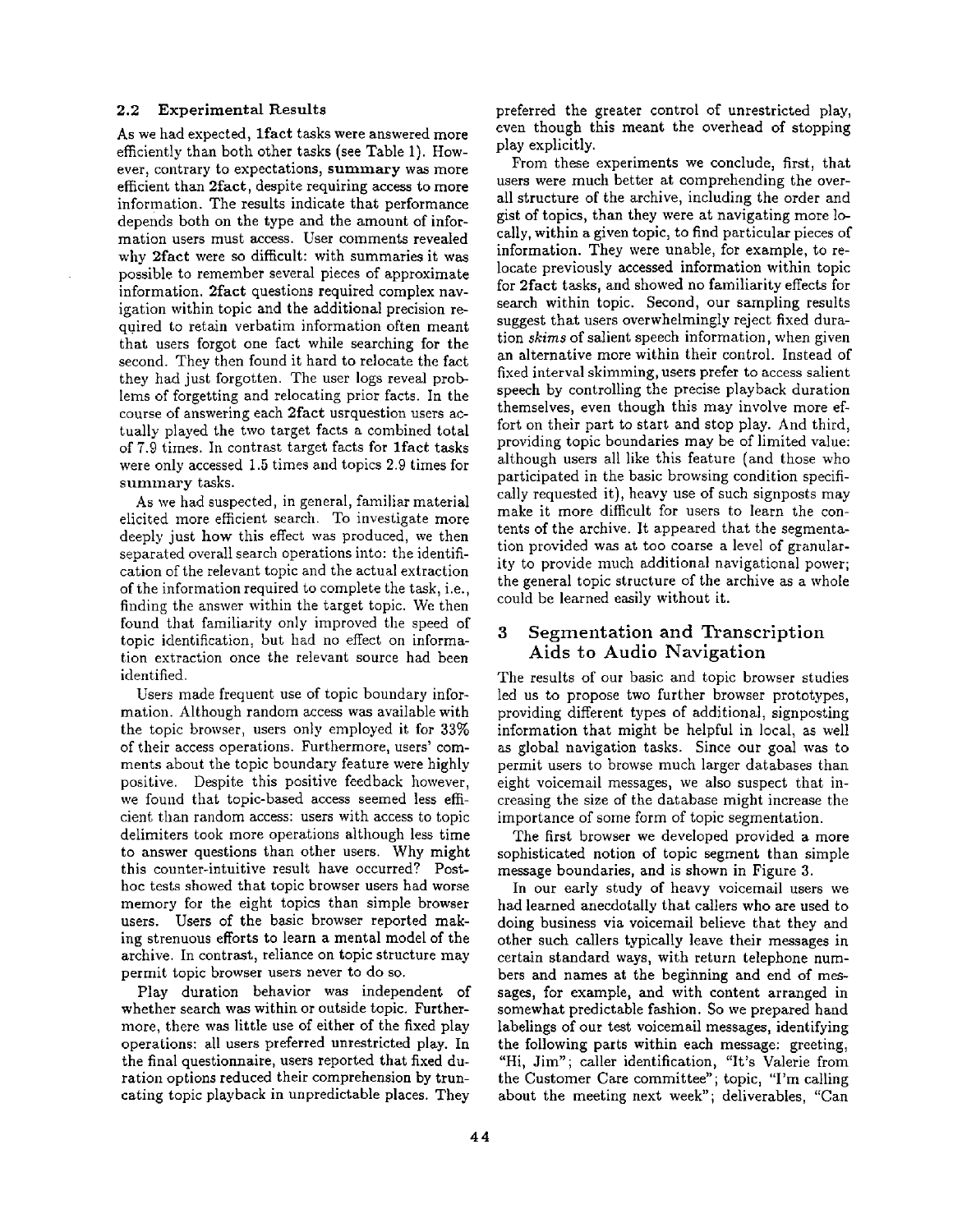#### **2.2 Experimental Results**

As we had expected, 1fact tasks were answered more efficiently than both other tasks (see Table 1). However, contrary to expectations, summary was more efficient than 2fact, despite requiring access to more information. The results indicate that performance depends both on the type and the amount of information users must access. User comments revealed why 2fact were so difficult: with summaries it was possible to remember several pieces of approximate information. 2fact questions required complex navigation within topic and the additional precision required to retain verbatim information often meant that users forgot one fact while searching for the second. They then found it hard to relocate the fact they had just forgotten. The user logs reveal problems of forgetting and relocating prior facts. In the course of answering each 2fact usrquestion users actually played the two target facts a combined total of 7.9 times. In contrast target facts for lfact tasks were only accessed 1.5 times and topics 2.9 times for summary tasks.

As we had suspected, in general, familiar material elicited more efficient search. To investigate more deeply just how this effect was produced, we then separated overall search operations into: the identification of the relevant topic and the actual extraction of the information required to complete the task, i.e., finding the answer within the target topic. We then found that familiarity only improved the speed of topic identification, but had no effect on information extraction once the relevant source had been identified.

Users made frequent use of topic boundary information. Although random access was available with the topic browser, users only employed it for 33% of their access operations. Furthermore, users' comments about the topic boundary feature were highly positive. Despite this positive feedback however, we found that topic-based access seemed less efficient than random access: users with access to topic delimiters took more operations although less time to answer questions than other users. Why might this counter-intuitive result have occurred? Posthoc tests showed that topic browser users had worse memory for the eight topics than simple browser users. Users of the basic browser reported making strenuous efforts to learn a mental model of the archive. In contrast, reliance on topic structure may permit topic browser users never to do so.

Play duration behavior was independent of whether search was within or outside topic. Furthermore, there was little use of either of the fixed play operations: all users preferred unrestricted play. In the final questionnaire, users reported that fixed duration options reduced their comprehension by truncating topic playback in unpredictable places. They

preferred the greater control of unrestricted play, even though this meant the overhead of stopping play explicitly.

From these experiments we conclude, first, that users were much better at comprehending the overall structure of the archive, including the order and gist of topics, than they were at navigating more locally, within a given topic, to find particular pieces of information. They were unable, for example, to relocate previously accessed information within topic for 2fact tasks, and showed no familiarity effects for search within topic. Second, our sampling results suggest that users overwhelmingly reject fixed duration *skims* of salient speech information, when given an alternative more within their control. Instead of fixed interval skimming, users prefer to access salient speech by controlling the precise playback duration themselves, even though this may involve more effort on their part to start and stop play. And third, providing topic boundaries may be of limited value: although users all like this feature (and those who participated in the basic browsing condition specifically requested it), heavy use of such signposts may make it more difficult for users to learn the contents of the archive. It appeared that the segmentation provided was at too coarse a level of granularity to provide much additional navigational power; the general topic structure of the archive as a whole could be learned easily without it.

## 3 Segmentation and Transcription Aids to Audio Navigation

The results of our basic and topic browser studies led us to propose two further browser prototypes, providing different types of additional, signposting information that might be helpful in local, as well as global navigation tasks. Since our goal was to permit users to browse much larger databases than eight voicemail messages, we also suspect that increasing the size of the database might increase the importance of some form of topic segmentation.

The first browser we developed provided a more sophisticated notion of topic segment than simple message boundaries, and is shown in Figure 3.

In our early study of heavy voicemail users we had learned anecdotally that callers who are used to doing business via voicemail believe that they and other such callers typically leave their messages in certain standard ways, with return telephone numbers and names at the beginning and end of messages, for example, and with content arranged in somewhat predictable fashion. So we prepared hand labelings of our test voicemail messages, identifying the following parts within each message: greeting, "Hi, Jim"; caller identification, "It's Valerie from the Customer Care committee"; topic, "I'm calling about the meeting next week"; deliverables, "Can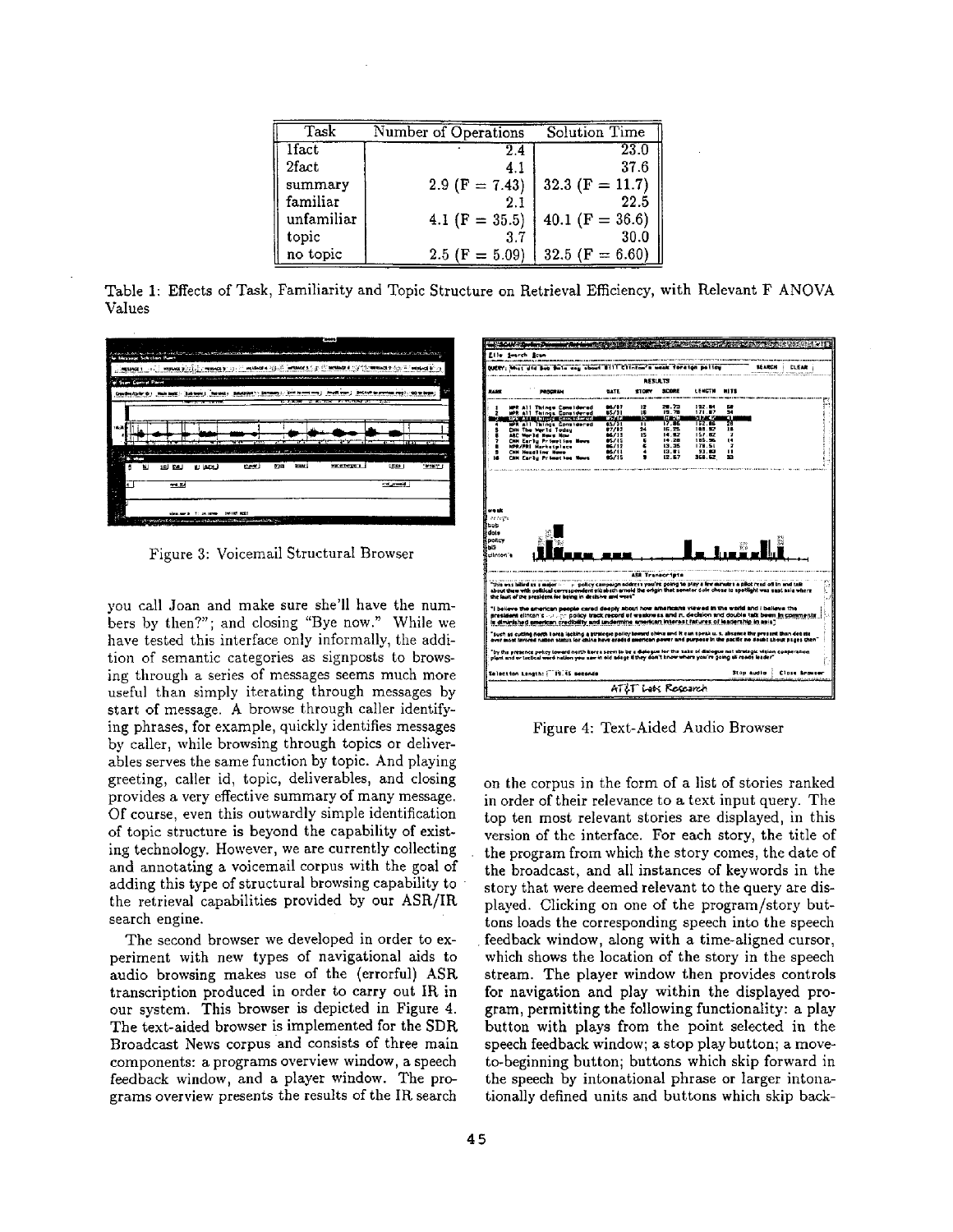| Task       | Number of Operations | Solution Time       |
|------------|----------------------|---------------------|
| 1fact      | 2.4                  | 23.0                |
| 2fact      | 4.1                  | 37.6                |
| summary    | 2.9 (F = 7.43)       | 32.3 (F = 11.7)     |
| familiar   | 2.1                  | 22.5                |
| unfamiliar | 4.1 (F = $35.5$ )    | 40.1 (F = 36.6)     |
| topic      | 3.7                  | 30.0                |
| no topic   | 2.5 (F = $5.09$ )    | 32.5 ( $F = 6.60$ ) |

Table 1: Effects of Task, Familiarity and Topic Structure on Retrieval Efficiency, with Relevant F ANOVA Values



Figure 3: Voicemail Structural Browser

you call Joan and make sure she'll have the numbers by then?"; and closing "Bye now." While we have tested this interface only informally, the addition of semantic categories as signposts to browsing through a series of messages seems much more useful than simply iterating through messages by start of message. A browse through caller identifying phrases, for example, quickly identifies messages by caller, while browsing through topics or deliverables serves the same function by topic. And playing greeting, caller id, topic, deliverables, and closing provides a very effective summary of many message. Of course, even this outwardly simple identification of topic structure is beyond the capability of existing technology. However, we are currently collecting and annotating a voicemail corpus with the goal of adding this type of structural browsing capability to the retrieval capabilities provided by our ASR/IR search engine.

The second browser we developed in order to experiment with new types of navigational aids to audio browsing makes use of the (errorful) ASR transcription produced in order to carry out IR in our system. This browser is depicted in Figure 4. The text-aided browser is implemented for the SDR Broadcast News corpus and consists of three main components: a programs overview window, a speech feedback window, and a player window. The programs overview presents the results of the IR search



Figure 4: Text-Aided Audio Browser

on the corpus in the form of a list of stories ranked in order of their relevance to a text input query. The top ten most relevant stories are displayed, in this version of the interface. For each story, the title of the program from which the story comes, the date of the broadcast, and all instances of keywords in the story that were deemed relevant to the query are displayed. Clicking on one of the program/story buttons loads the corresponding speech into the speech • feedback window, along with a time-aligned cursor, which shows the location of the story in the speech stream. The player window then provides controls for navigation and play within the displayed program, permitting the following functionality: a play button with plays from the point selected in the speech feedback window; a stop play button; a moveto-beginning button; buttons which skip forward in the speech by intonational phrase or larger intonationally defined units and buttons which skip back